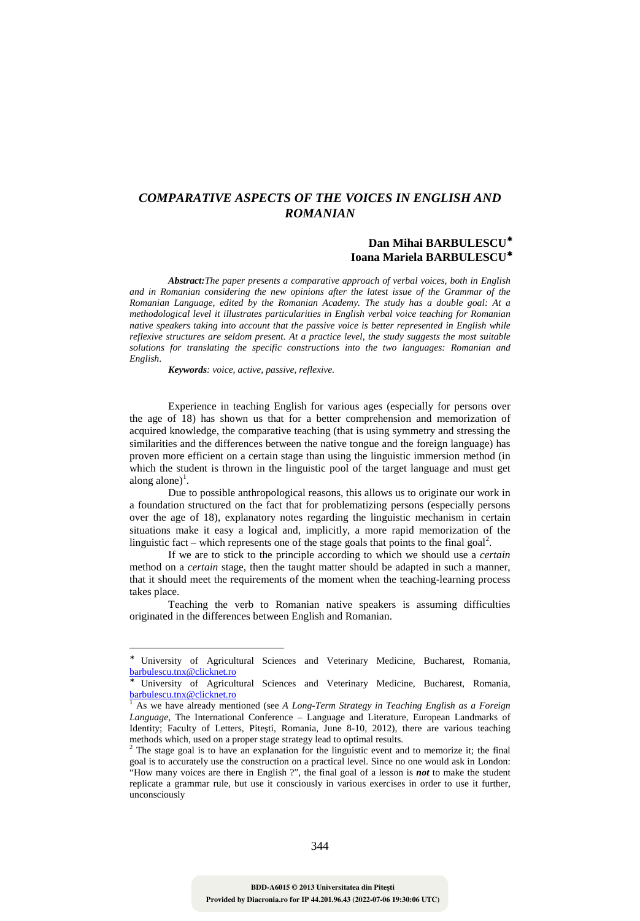## *COMPARATIVE ASPECTS OF THE VOICES IN ENGLISH AND ROMANIAN*

## **Dan Mihai BARBULESCU**<sup>∗</sup> **Ioana Mariela BARBULESCU**<sup>∗</sup>

*Abstract:The paper presents a comparative approach of verbal voices, both in English and in Romanian considering the new opinions after the latest issue of the Grammar of the Romanian Language, edited by the Romanian Academy. The study has a double goal: At a methodological level it illustrates particularities in English verbal voice teaching for Romanian native speakers taking into account that the passive voice is better represented in English while reflexive structures are seldom present. At a practice level, the study suggests the most suitable solutions for translating the specific constructions into the two languages: Romanian and English*.

*Keywords: voice, active, passive, reflexive.* 

 $\overline{a}$ 

Experience in teaching English for various ages (especially for persons over the age of 18) has shown us that for a better comprehension and memorization of acquired knowledge, the comparative teaching (that is using symmetry and stressing the similarities and the differences between the native tongue and the foreign language) has proven more efficient on a certain stage than using the linguistic immersion method (in which the student is thrown in the linguistic pool of the target language and must get along alone)<sup>1</sup>.

Due to possible anthropological reasons, this allows us to originate our work in a foundation structured on the fact that for problematizing persons (especially persons over the age of 18), explanatory notes regarding the linguistic mechanism in certain situations make it easy a logical and, implicitly, a more rapid memorization of the linguistic fact – which represents one of the stage goals that points to the final goal<sup>2</sup>.

If we are to stick to the principle according to which we should use a *certain* method on a *certain* stage, then the taught matter should be adapted in such a manner, that it should meet the requirements of the moment when the teaching-learning process takes place.

Teaching the verb to Romanian native speakers is assuming difficulties originated in the differences between English and Romanian.

<sup>∗</sup> University of Agricultural Sciences and Veterinary Medicine, Bucharest, Romania, barbulescu.tnx@clicknet.ro

<sup>∗</sup> University of Agricultural Sciences and Veterinary Medicine, Bucharest, Romania, barbulescu.tnx@clicknet.ro

<sup>&</sup>lt;sup>1</sup> As we have already mentioned (see *A Long-Term Strategy in Teaching English as a Foreign Language,* The International Conference – Language and Literature, European Landmarks of Identity; Faculty of Letters, Piteşti, Romania, June 8-10, 2012), there are various teaching methods which, used on a proper stage strategy lead to optimal results.

<sup>2</sup> The stage goal is to have an explanation for the linguistic event and to memorize it; the final goal is to accurately use the construction on a practical level. Since no one would ask in London: "How many voices are there in English ?", the final goal of a lesson is *not* to make the student replicate a grammar rule, but use it consciously in various exercises in order to use it further, unconsciously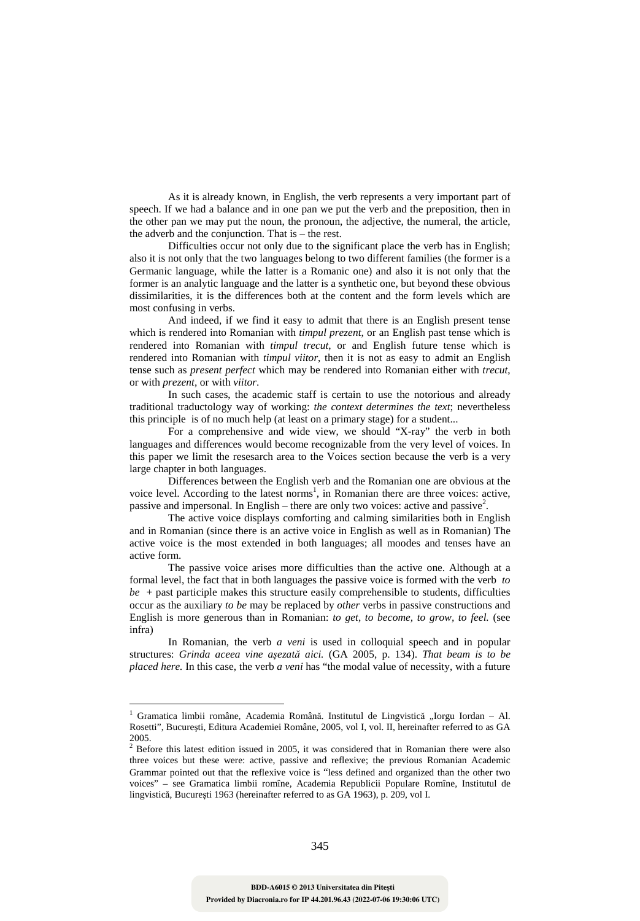As it is already known, in English, the verb represents a very important part of speech. If we had a balance and in one pan we put the verb and the preposition, then in the other pan we may put the noun, the pronoun, the adjective, the numeral, the article, the adverb and the conjunction. That is – the rest.

Difficulties occur not only due to the significant place the verb has in English; also it is not only that the two languages belong to two different families (the former is a Germanic language, while the latter is a Romanic one) and also it is not only that the former is an analytic language and the latter is a synthetic one, but beyond these obvious dissimilarities, it is the differences both at the content and the form levels which are most confusing in verbs.

And indeed, if we find it easy to admit that there is an English present tense which is rendered into Romanian with *timpul prezent*, or an English past tense which is rendered into Romanian with *timpul trecut*, or and English future tense which is rendered into Romanian with *timpul viitor*, then it is not as easy to admit an English tense such as *present perfect* which may be rendered into Romanian either with *trecut*, or with *prezent*, or with *viitor*.

In such cases, the academic staff is certain to use the notorious and already traditional traductology way of working: *the context determines the text*; nevertheless this principle is of no much help (at least on a primary stage) for a student...

For a comprehensive and wide view, we should "X-ray" the verb in both languages and differences would become recognizable from the very level of voices. In this paper we limit the resesarch area to the Voices section because the verb is a very large chapter in both languages.

Differences between the English verb and the Romanian one are obvious at the voice level. According to the latest norms<sup>1</sup>, in Romanian there are three voices: active, passive and impersonal. In English – there are only two voices: active and passive<sup>2</sup>.

The active voice displays comforting and calming similarities both in English and in Romanian (since there is an active voice in English as well as in Romanian) The active voice is the most extended in both languages; all moodes and tenses have an active form.

The passive voice arises more difficulties than the active one. Although at a formal level, the fact that in both languages the passive voice is formed with the verb *to*   $be +$  past participle makes this structure easily comprehensible to students, difficulties occur as the auxiliary *to be* may be replaced by *other* verbs in passive constructions and English is more generous than in Romanian: *to get, to become, to grow, to feel.* (see infra)

In Romanian, the verb *a veni* is used in colloquial speech and in popular structures: *Grinda aceea vine aşezată aici.* (GA 2005, p. 134). *That beam is to be placed here.* In this case, the verb *a veni* has "the modal value of necessity, with a future

 $\overline{a}$ 

<sup>&</sup>lt;sup>1</sup> Gramatica limbii române, Academia Română. Institutul de Lingvistică "Iorgu Iordan - Al. Rosetti", Bucureşti, Editura Academiei Române, 2005, vol I, vol. II, hereinafter referred to as GA 2005.

 $2^2$  Before this latest edition issued in 2005, it was considered that in Romanian there were also three voices but these were: active, passive and reflexive; the previous Romanian Academic Grammar pointed out that the reflexive voice is "less defined and organized than the other two voices" – see Gramatica limbii romîne, Academia Republicii Populare Romîne, Institutul de lingvistică, Bucureşti 1963 (hereinafter referred to as GA 1963), p. 209, vol I.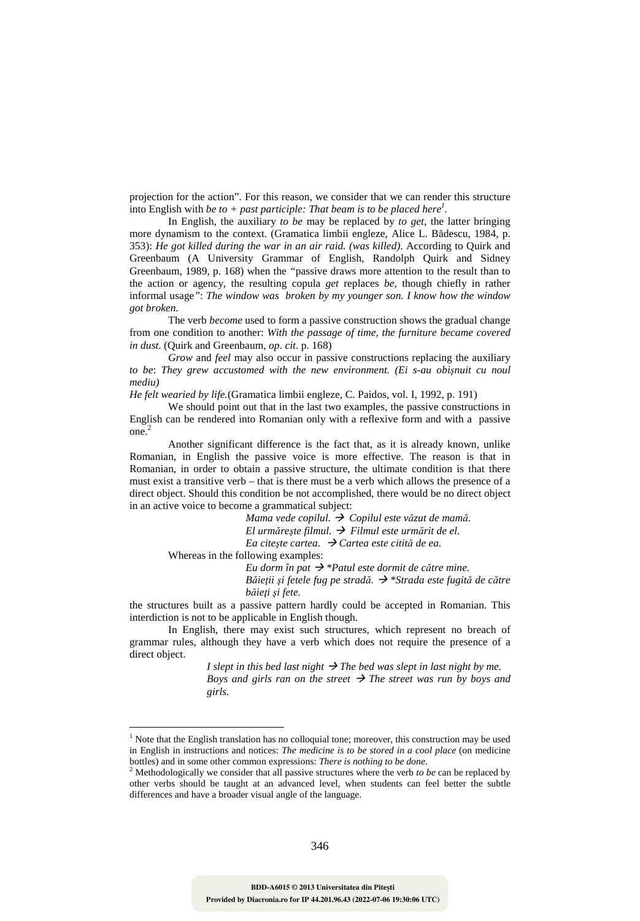projection for the action". For this reason, we consider that we can render this structure into English with *be to + past participle: That beam is to be placed here<sup>1</sup> .*

In English, the auxiliary *to be* may be replaced by *to get*, the latter bringing more dynamism to the context. (Gramatica limbii engleze, Alice L. Bădescu, 1984, p. 353): *He got killed during the war in an air raid. (was killed)*. According to Quirk and Greenbaum (A University Grammar of English, Randolph Quirk and Sidney Greenbaum, 1989, p. 168) when the *"*passive draws more attention to the result than to the action or agency, the resulting copula *get* replaces *be,* though chiefly in rather informal usage*"*: *The window was broken by my younger son. I know how the window got broken.* 

The verb *become* used to form a passive construction shows the gradual change from one condition to another: *With the passage of time, the furniture became covered in dust*. (Quirk and Greenbaum, *op. cit.* p. 168)

*Grow* and *feel* may also occur in passive constructions replacing the auxiliary *to be*: *They grew accustomed with the new environment. (Ei s-au obişnuit cu noul mediu)* 

*He felt wearied by life.*(Gramatica limbii engleze, C. Paidos, vol. I, 1992, p. 191)

We should point out that in the last two examples, the passive constructions in English can be rendered into Romanian only with a reflexive form and with a passive one.<sup>2</sup>

Another significant difference is the fact that, as it is already known, unlike Romanian, in English the passive voice is more effective. The reason is that in Romanian, in order to obtain a passive structure, the ultimate condition is that there must exist a transitive verb – that is there must be a verb which allows the presence of a direct object. Should this condition be not accomplished, there would be no direct object in an active voice to become a grammatical subject:

> *Mama vede copilul. Copilul este văzut de mamă. El urmăreşte filmul. Filmul este urmărit de el. Ea citește cartea.*  $\rightarrow$  *Cartea este citită de ea.*

Whereas in the following examples:

 $\overline{a}$ 

*Eu dorm în pat \*Patul este dormit de către mine.* 

*Băieţii şi fetele fug pe stradă. \*Strada este fugită de către băieţi şi fete.*

the structures built as a passive pattern hardly could be accepted in Romanian. This interdiction is not to be applicable in English though.

In English, there may exist such structures, which represent no breach of grammar rules, although they have a verb which does not require the presence of a direct object.

> *I slept in this bed last night*  $\rightarrow$  *The bed was slept in last night by me. Boys and girls ran on the street The street was run by boys and girls.*

<sup>&</sup>lt;sup>1</sup> Note that the English translation has no colloquial tone; moreover, this construction may be used in English in instructions and notices: *The medicine is to be stored in a cool place* (on medicine bottles) and in some other common expressions: *There is nothing to be done*.

<sup>2</sup> Methodologically we consider that all passive structures where the verb *to be* can be replaced by other verbs should be taught at an advanced level, when students can feel better the subtle differences and have a broader visual angle of the language.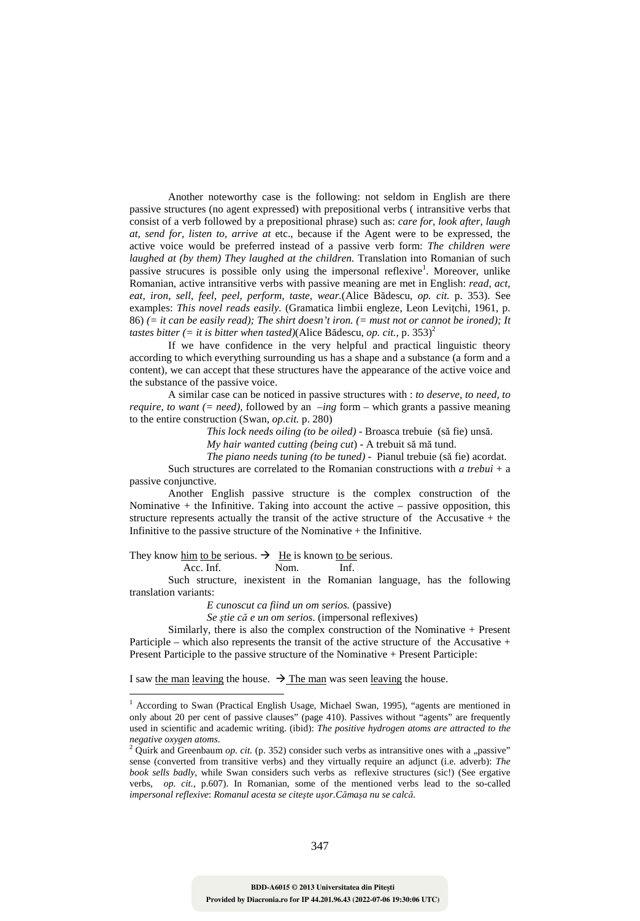Another noteworthy case is the following: not seldom in English are there passive structures (no agent expressed) with prepositional verbs ( intransitive verbs that consist of a verb followed by a prepositional phrase) such as: *care for, look after, laugh at, send for, listen to, arrive at* etc., because if the Agent were to be expressed, the active voice would be preferred instead of a passive verb form: *The children were laughed at (by them) They laughed at the children. Translation into Romanian of such* passive strucures is possible only using the impersonal reflexive<sup>1</sup>. Moreover, unlike Romanian, active intransitive verbs with passive meaning are met in English: *read, act, eat, iron, sell, feel, peel, perform, taste, wear.*(Alice Bădescu, *op. cit.* p. 353). See examples: *This novel reads easily.* (Gramatica limbii engleze, Leon Levitchi, 1961, p. 86) *(= it can be easily read); The shirt doesn't iron. (= must not or cannot be ironed); It tastes bitter (= it is bitter when tasted)*(Alice Bădescu, *op. cit.*, p. 353)<sup>2</sup>

If we have confidence in the very helpful and practical linguistic theory according to which everything surrounding us has a shape and a substance (a form and a content), we can accept that these structures have the appearance of the active voice and the substance of the passive voice.

A similar case can be noticed in passive structures with : *to deserve, to need, to require, to want (= need),* followed by an *–ing* form – which grants a passive meaning to the entire construction (Swan, *op.cit.* p. 280)

*This lock needs oiling (to be oiled)* - Broasca trebuie (să fie) unsă.

*My hair wanted cutting (being cut*) - A trebuit să mă tund.

*The piano needs tuning (to be tuned)* - Pianul trebuie (să fie) acordat.

Such structures are correlated to the Romanian constructions with *a trebui* + a passive conjunctive.

Another English passive structure is the complex construction of the Nominative  $+$  the Infinitive. Taking into account the active  $-$  passive opposition, this structure represents actually the transit of the active structure of the Accusative + the Infinitive to the passive structure of the Nominative  $+$  the Infinitive.

They know him to be serious.  $\rightarrow$  He is known to be serious. Acc. Inf. Nom. Inf.

 $\overline{a}$ 

Such structure, inexistent in the Romanian language, has the following translation variants:

*E cunoscut ca fiind un om serios.* (passive)

*Se ştie că e un om serios*. (impersonal reflexives)

Similarly, there is also the complex construction of the Nominative + Present Participle – which also represents the transit of the active structure of the Accusative  $+$ Present Participle to the passive structure of the Nominative + Present Participle:

I saw the man leaving the house.  $\rightarrow$  The man was seen leaving the house.

<sup>&</sup>lt;sup>1</sup> According to Swan (Practical English Usage, Michael Swan, 1995), "agents are mentioned in only about 20 per cent of passive clauses" (page 410). Passives without "agents" are frequently used in scientific and academic writing. (ibid): *The positive hydrogen atoms are attracted to the negative oxygen atoms*.

<sup>&</sup>lt;sup>2</sup> Quirk and Greenbaum *op. cit.* (p. 352) consider such verbs as intransitive ones with a "passive" sense (converted from transitive verbs) and they virtually require an adjunct (i.e. adverb): *The book sells badly*, while Swan considers such verbs as reflexive structures (sic!) (See ergative verbs, *op. cit.,* p.607). In Romanian, some of the mentioned verbs lead to the so-called *impersonal reflexive*: *Romanul acesta se citeşte uşor.Cămaşa nu se calcă.*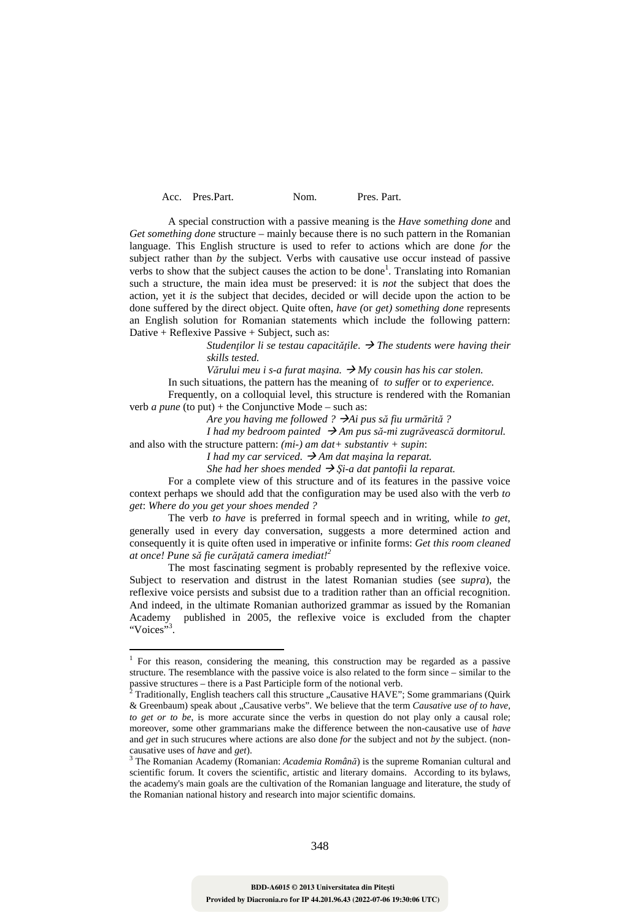| Pres. Part. |
|-------------|
|             |

A special construction with a passive meaning is the *Have something done* and *Get something done* structure – mainly because there is no such pattern in the Romanian language. This English structure is used to refer to actions which are done *for* the subject rather than *by* the subject. Verbs with causative use occur instead of passive verbs to show that the subject causes the action to be done<sup>1</sup>. Translating into Romanian such a structure, the main idea must be preserved: it is *not* the subject that does the action, yet it *is* the subject that decides, decided or will decide upon the action to be done suffered by the direct object. Quite often, *have (*or *get) something done* represents an English solution for Romanian statements which include the following pattern: Dative + Reflexive Passive + Subject, such as:

> *Studentilor li se testau capacitățile.*  $\rightarrow$  *The students were having their skills tested.*

*Vărului meu i s-a furat maşina. My cousin has his car stolen.* 

In such situations, the pattern has the meaning of *to suffer* or *to experience.* 

Frequently, on a colloquial level, this structure is rendered with the Romanian verb *a pune* (to put) + the Conjunctive Mode – such as:

*Are you having me followed ? Ai pus să fiu urmărită ?*

*I* had my bedroom painted  $\rightarrow$  Am pus să-mi zugrăvească dormitorul.

and also with the structure pattern: *(mi-) am dat+ substantiv + supin*:

*I had my car serviced.*  $\rightarrow$  *Am dat maşina la reparat.* 

*She had her shoes mended*  $\rightarrow$  *Şi-a dat pantofii la reparat.* 

For a complete view of this structure and of its features in the passive voice context perhaps we should add that the configuration may be used also with the verb *to get*: *Where do you get your shoes mended ?* 

The verb *to have* is preferred in formal speech and in writing, while *to get,* generally used in every day conversation, suggests a more determined action and consequently it is quite often used in imperative or infinite forms: *Get this room cleaned at once! Pune să fie curăţată camera imediat!<sup>2</sup>*

The most fascinating segment is probably represented by the reflexive voice. Subject to reservation and distrust in the latest Romanian studies (see *supra*), the reflexive voice persists and subsist due to a tradition rather than an official recognition. And indeed, in the ultimate Romanian authorized grammar as issued by the Romanian Academy published in 2005, the reflexive voice is excluded from the chapter "Voices"<sup>3</sup>.

 $\overline{a}$ 

<sup>&</sup>lt;sup>1</sup> For this reason, considering the meaning, this construction may be regarded as a passive structure. The resemblance with the passive voice is also related to the form since – similar to the passive structures – there is a Past Participle form of the notional verb.<br><sup>2</sup> Traditionally, English teachers call this structure. Causative HAVE".

Traditionally, English teachers call this structure "Causative HAVE"; Some grammarians (Ouirk & Greenbaum) speak about "Causative verbs". We believe that the term *Causative use of to have*, *to get or to be*, is more accurate since the verbs in question do not play only a causal role; moreover, some other grammarians make the difference between the non-causative use of *have* and *get* in such strucures where actions are also done *for* the subject and not *by* the subject. (noncausative uses of *have* and *get*).

<sup>3</sup> The Romanian Academy (Romanian: *Academia Română*) is the supreme Romanian cultural and scientific forum. It covers the scientific, artistic and literary domains. According to its bylaws, the academy's main goals are the cultivation of the Romanian language and literature, the study of the Romanian national history and research into major scientific domains.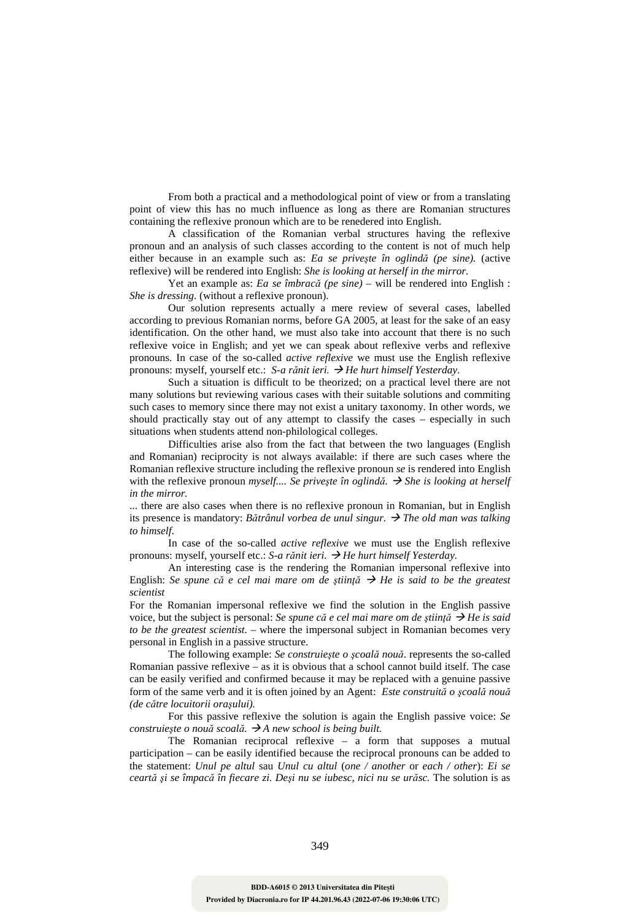From both a practical and a methodological point of view or from a translating point of view this has no much influence as long as there are Romanian structures containing the reflexive pronoun which are to be renedered into English.

A classification of the Romanian verbal structures having the reflexive pronoun and an analysis of such classes according to the content is not of much help either because in an example such as: *Ea se priveşte în oglindă (pe sine).* (active reflexive) will be rendered into English: *She is looking at herself in the mirror.*

Yet an example as: *Ea se îmbracă (pe sine)* – will be rendered into English : *She is dressing*. (without a reflexive pronoun).

Our solution represents actually a mere review of several cases, labelled according to previous Romanian norms, before GA 2005, at least for the sake of an easy identification. On the other hand, we must also take into account that there is no such reflexive voice in English; and yet we can speak about reflexive verbs and reflexive pronouns. In case of the so-called *active reflexive* we must use the English reflexive pronouns: myself, yourself etc.: *S-a rănit ieri. He hurt himself Yesterday.*

Such a situation is difficult to be theorized; on a practical level there are not many solutions but reviewing various cases with their suitable solutions and commiting such cases to memory since there may not exist a unitary taxonomy. In other words, we should practically stay out of any attempt to classify the cases – especially in such situations when students attend non-philological colleges.

Difficulties arise also from the fact that between the two languages (English and Romanian) reciprocity is not always available: if there are such cases where the Romanian reflexive structure including the reflexive pronoun *se* is rendered into English with the reflexive pronoun *myself.... Se priveşte în oglindă. She is looking at herself in the mirror.* 

... there are also cases when there is no reflexive pronoun in Romanian, but in English its presence is mandatory: *Bătrânul vorbea de unul singur. The old man was talking to himself*.

In case of the so-called *active reflexive* we must use the English reflexive pronouns: myself, yourself etc.: *S-a rănit ieri. He hurt himself Yesterday.*

An interesting case is the rendering the Romanian impersonal reflexive into English: *Se spune că e cel mai mare om de ştiinţă He is said to be the greatest scientist*

For the Romanian impersonal reflexive we find the solution in the English passive voice, but the subject is personal: *Se spune că e cel mai mare om de știință*  $\rightarrow$  *He is said to be the greatest scientist.* – where the impersonal subject in Romanian becomes very personal in English in a passive structure.

The following example: *Se construieşte o şcoală nouă*. represents the so-called Romanian passive reflexive – as it is obvious that a school cannot build itself. The case can be easily verified and confirmed because it may be replaced with a genuine passive form of the same verb and it is often joined by an Agent: *Este construită o şcoală nouă (de către locuitorii oraşului).* 

For this passive reflexive the solution is again the English passive voice: *Se construieşte o nouă scoală. A new school is being built.*

The Romanian reciprocal reflexive – a form that supposes a mutual participation – can be easily identified because the reciprocal pronouns can be added to the statement: *Unul pe altul* sau *Unul cu altul* (*one / another* or *each / other*): *Ei se ceartă şi se împacă în fiecare zi. Deşi nu se iubesc, nici nu se urăsc.* The solution is as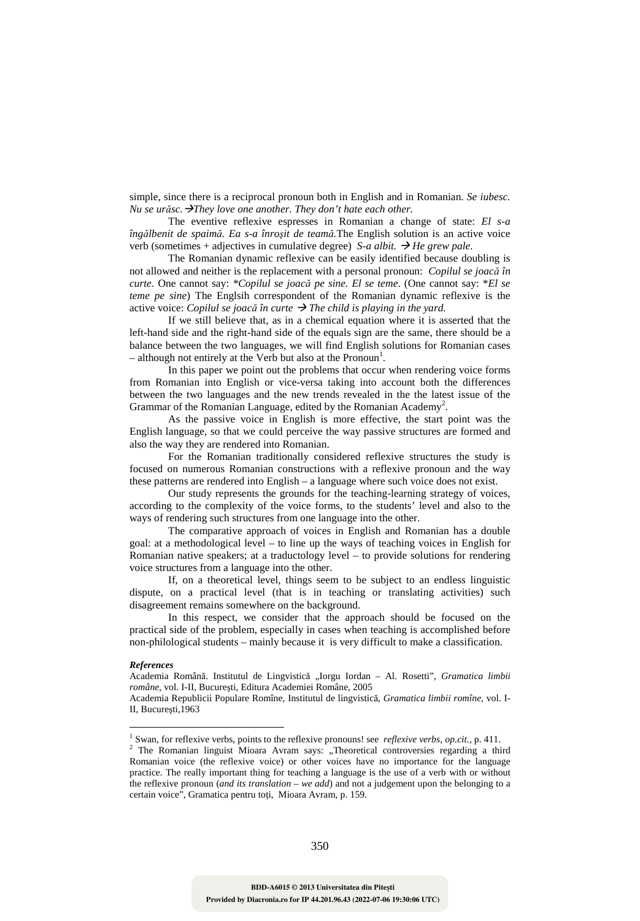simple, since there is a reciprocal pronoun both in English and in Romanian. *Se iubesc. Nu se urăsc.They love one another. They don't hate each other.*

The eventive reflexive espresses in Romanian a change of state: *El s-a îngălbenit de spaimă. Ea s-a înroşit de teamă.*The English solution is an active voice verb (sometimes + adjectives in cumulative degree) *S-a albit.*  $\rightarrow$  *He grew pale.* 

The Romanian dynamic reflexive can be easily identified because doubling is not allowed and neither is the replacement with a personal pronoun: *Copilul se joacă în curte*. One cannot say: *\*Copilul se joacă pe sine. El se teme*. (One cannot say: \**El se teme pe sine*) The Englsih correspondent of the Romanian dynamic reflexive is the active voice: *Copilul se joacă în curte The child is playing in the yard.* 

If we still believe that, as in a chemical equation where it is asserted that the left-hand side and the right-hand side of the equals sign are the same, there should be a balance between the two languages, we will find English solutions for Romanian cases  $-$  although not entirely at the Verb but also at the Pronoun<sup>1</sup>.

In this paper we point out the problems that occur when rendering voice forms from Romanian into English or vice-versa taking into account both the differences between the two languages and the new trends revealed in the the latest issue of the Grammar of the Romanian Language, edited by the Romanian Academy<sup>2</sup>.

As the passive voice in English is more effective, the start point was the English language, so that we could perceive the way passive structures are formed and also the way they are rendered into Romanian.

For the Romanian traditionally considered reflexive structures the study is focused on numerous Romanian constructions with a reflexive pronoun and the way these patterns are rendered into English – a language where such voice does not exist.

Our study represents the grounds for the teaching-learning strategy of voices, according to the complexity of the voice forms, to the students' level and also to the ways of rendering such structures from one language into the other.

The comparative approach of voices in English and Romanian has a double goal: at a methodological level – to line up the ways of teaching voices in English for Romanian native speakers; at a traductology level  $-$  to provide solutions for rendering voice structures from a language into the other.

If, on a theoretical level, things seem to be subject to an endless linguistic dispute, on a practical level (that is in teaching or translating activities) such disagreement remains somewhere on the background.

In this respect, we consider that the approach should be focused on the practical side of the problem, especially in cases when teaching is accomplished before non-philological students – mainly because it is very difficult to make a classification.

## *References*

 $\overline{a}$ 

Academia Republicii Populare Romîne, Institutul de lingvistică, *Gramatica limbii romîne*, vol. I-II, Bucureşti,1963

Academia Română. Institutul de Lingvistică "Iorgu Iordan – Al. Rosetti", *Gramatica limbii române*, vol. I-II, Bucureşti, Editura Academiei Române, 2005

<sup>1</sup> Swan, for reflexive verbs, points to the reflexive pronouns! see *reflexive verbs*, *op.cit.,* p. 411.

<sup>&</sup>lt;sup>2</sup> The Romanian linguist Mioara Avram says: "Theoretical controversies regarding a third Romanian voice (the reflexive voice) or other voices have no importance for the language practice. The really important thing for teaching a language is the use of a verb with or without the reflexive pronoun (*and its translation – we add*) and not a judgement upon the belonging to a certain voice"*,* Gramatica pentru toţi, Mioara Avram, p. 159.